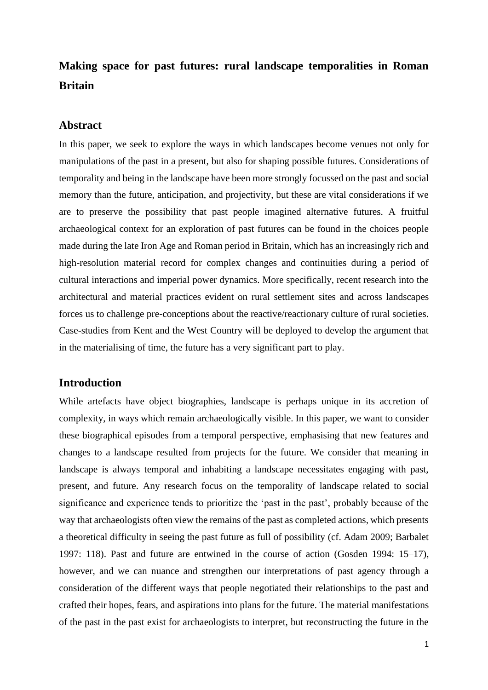# **Making space for past futures: rural landscape temporalities in Roman Britain**

## **Abstract**

In this paper, we seek to explore the ways in which landscapes become venues not only for manipulations of the past in a present, but also for shaping possible futures. Considerations of temporality and being in the landscape have been more strongly focussed on the past and social memory than the future, anticipation, and projectivity, but these are vital considerations if we are to preserve the possibility that past people imagined alternative futures. A fruitful archaeological context for an exploration of past futures can be found in the choices people made during the late Iron Age and Roman period in Britain, which has an increasingly rich and high-resolution material record for complex changes and continuities during a period of cultural interactions and imperial power dynamics. More specifically, recent research into the architectural and material practices evident on rural settlement sites and across landscapes forces us to challenge pre-conceptions about the reactive/reactionary culture of rural societies. Case-studies from Kent and the West Country will be deployed to develop the argument that in the materialising of time, the future has a very significant part to play.

# **Introduction**

While artefacts have object biographies, landscape is perhaps unique in its accretion of complexity, in ways which remain archaeologically visible. In this paper, we want to consider these biographical episodes from a temporal perspective, emphasising that new features and changes to a landscape resulted from projects for the future. We consider that meaning in landscape is always temporal and inhabiting a landscape necessitates engaging with past, present, and future. Any research focus on the temporality of landscape related to social significance and experience tends to prioritize the 'past in the past', probably because of the way that archaeologists often view the remains of the past as completed actions, which presents a theoretical difficulty in seeing the past future as full of possibility (cf. Adam 2009; Barbalet 1997: 118). Past and future are entwined in the course of action (Gosden 1994: 15–17), however, and we can nuance and strengthen our interpretations of past agency through a consideration of the different ways that people negotiated their relationships to the past and crafted their hopes, fears, and aspirations into plans for the future. The material manifestations of the past in the past exist for archaeologists to interpret, but reconstructing the future in the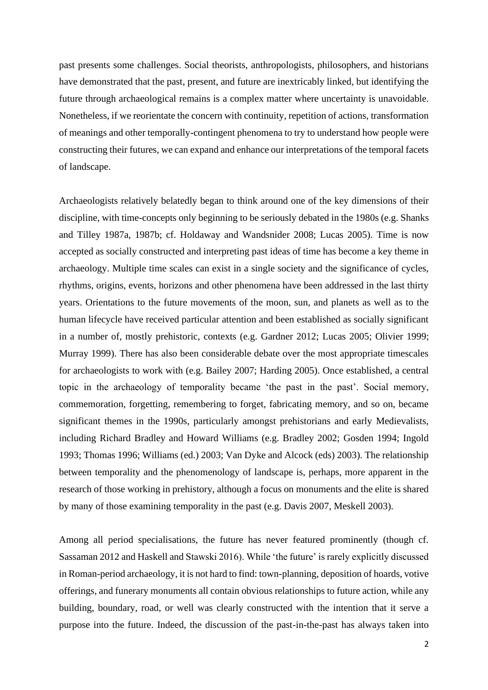past presents some challenges. Social theorists, anthropologists, philosophers, and historians have demonstrated that the past, present, and future are inextricably linked, but identifying the future through archaeological remains is a complex matter where uncertainty is unavoidable. Nonetheless, if we reorientate the concern with continuity, repetition of actions, transformation of meanings and other temporally-contingent phenomena to try to understand how people were constructing their futures, we can expand and enhance our interpretations of the temporal facets of landscape.

Archaeologists relatively belatedly began to think around one of the key dimensions of their discipline, with time-concepts only beginning to be seriously debated in the 1980s (e.g. Shanks and Tilley 1987a, 1987b; cf. Holdaway and Wandsnider 2008; Lucas 2005). Time is now accepted as socially constructed and interpreting past ideas of time has become a key theme in archaeology. Multiple time scales can exist in a single society and the significance of cycles, rhythms, origins, events, horizons and other phenomena have been addressed in the last thirty years. Orientations to the future movements of the moon, sun, and planets as well as to the human lifecycle have received particular attention and been established as socially significant in a number of, mostly prehistoric, contexts (e.g. Gardner 2012; Lucas 2005; Olivier 1999; Murray 1999). There has also been considerable debate over the most appropriate timescales for archaeologists to work with (e.g. Bailey 2007; Harding 2005). Once established, a central topic in the archaeology of temporality became 'the past in the past'. Social memory, commemoration, forgetting, remembering to forget, fabricating memory, and so on, became significant themes in the 1990s, particularly amongst prehistorians and early Medievalists, including Richard Bradley and Howard Williams (e.g. Bradley 2002; Gosden 1994; Ingold 1993; Thomas 1996; Williams (ed.) 2003; Van Dyke and Alcock (eds) 2003). The relationship between temporality and the phenomenology of landscape is, perhaps, more apparent in the research of those working in prehistory, although a focus on monuments and the elite is shared by many of those examining temporality in the past (e.g. Davis 2007, Meskell 2003).

Among all period specialisations, the future has never featured prominently (though cf. Sassaman 2012 and Haskell and Stawski 2016). While 'the future' is rarely explicitly discussed in Roman-period archaeology, it is not hard to find: town-planning, deposition of hoards, votive offerings, and funerary monuments all contain obvious relationships to future action, while any building, boundary, road, or well was clearly constructed with the intention that it serve a purpose into the future. Indeed, the discussion of the past-in-the-past has always taken into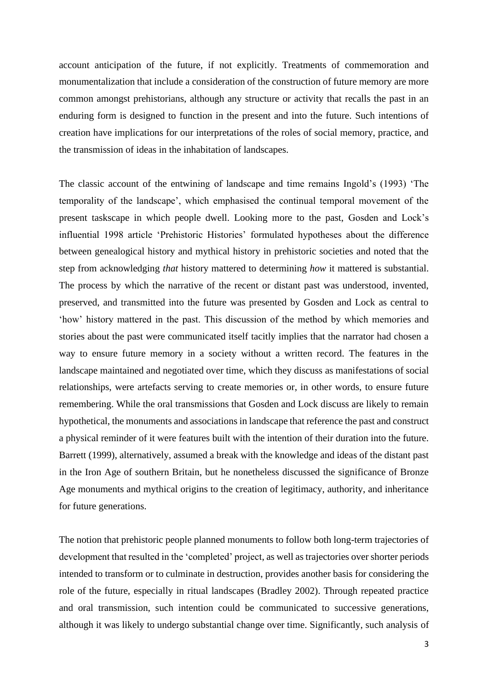account anticipation of the future, if not explicitly. Treatments of commemoration and monumentalization that include a consideration of the construction of future memory are more common amongst prehistorians, although any structure or activity that recalls the past in an enduring form is designed to function in the present and into the future. Such intentions of creation have implications for our interpretations of the roles of social memory, practice, and the transmission of ideas in the inhabitation of landscapes.

The classic account of the entwining of landscape and time remains Ingold's (1993) 'The temporality of the landscape', which emphasised the continual temporal movement of the present taskscape in which people dwell. Looking more to the past, Gosden and Lock's influential 1998 article 'Prehistoric Histories' formulated hypotheses about the difference between genealogical history and mythical history in prehistoric societies and noted that the step from acknowledging *that* history mattered to determining *how* it mattered is substantial. The process by which the narrative of the recent or distant past was understood, invented, preserved, and transmitted into the future was presented by Gosden and Lock as central to 'how' history mattered in the past. This discussion of the method by which memories and stories about the past were communicated itself tacitly implies that the narrator had chosen a way to ensure future memory in a society without a written record. The features in the landscape maintained and negotiated over time, which they discuss as manifestations of social relationships, were artefacts serving to create memories or, in other words, to ensure future remembering. While the oral transmissions that Gosden and Lock discuss are likely to remain hypothetical, the monuments and associations in landscape that reference the past and construct a physical reminder of it were features built with the intention of their duration into the future. Barrett (1999), alternatively, assumed a break with the knowledge and ideas of the distant past in the Iron Age of southern Britain, but he nonetheless discussed the significance of Bronze Age monuments and mythical origins to the creation of legitimacy, authority, and inheritance for future generations.

The notion that prehistoric people planned monuments to follow both long-term trajectories of development that resulted in the 'completed' project, as well as trajectories over shorter periods intended to transform or to culminate in destruction, provides another basis for considering the role of the future, especially in ritual landscapes (Bradley 2002). Through repeated practice and oral transmission, such intention could be communicated to successive generations, although it was likely to undergo substantial change over time. Significantly, such analysis of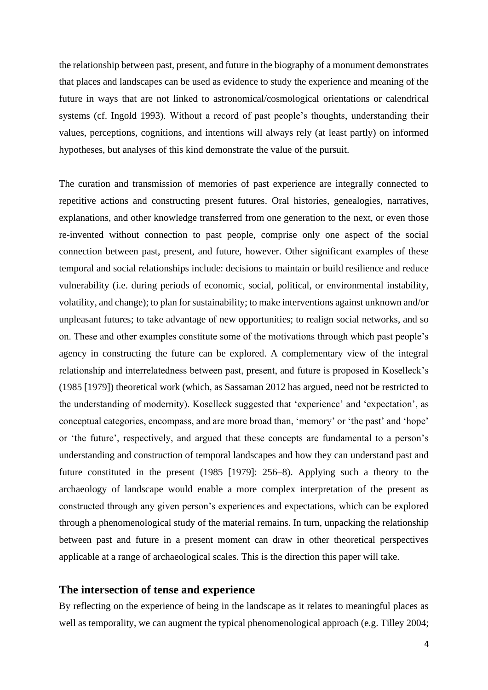the relationship between past, present, and future in the biography of a monument demonstrates that places and landscapes can be used as evidence to study the experience and meaning of the future in ways that are not linked to astronomical/cosmological orientations or calendrical systems (cf. Ingold 1993). Without a record of past people's thoughts, understanding their values, perceptions, cognitions, and intentions will always rely (at least partly) on informed hypotheses, but analyses of this kind demonstrate the value of the pursuit.

The curation and transmission of memories of past experience are integrally connected to repetitive actions and constructing present futures. Oral histories, genealogies, narratives, explanations, and other knowledge transferred from one generation to the next, or even those re-invented without connection to past people, comprise only one aspect of the social connection between past, present, and future, however. Other significant examples of these temporal and social relationships include: decisions to maintain or build resilience and reduce vulnerability (i.e. during periods of economic, social, political, or environmental instability, volatility, and change); to plan for sustainability; to make interventions against unknown and/or unpleasant futures; to take advantage of new opportunities; to realign social networks, and so on. These and other examples constitute some of the motivations through which past people's agency in constructing the future can be explored. A complementary view of the integral relationship and interrelatedness between past, present, and future is proposed in Koselleck's (1985 [1979]) theoretical work (which, as Sassaman 2012 has argued, need not be restricted to the understanding of modernity). Koselleck suggested that 'experience' and 'expectation', as conceptual categories, encompass, and are more broad than, 'memory' or 'the past' and 'hope' or 'the future', respectively, and argued that these concepts are fundamental to a person's understanding and construction of temporal landscapes and how they can understand past and future constituted in the present (1985 [1979]: 256–8). Applying such a theory to the archaeology of landscape would enable a more complex interpretation of the present as constructed through any given person's experiences and expectations, which can be explored through a phenomenological study of the material remains. In turn, unpacking the relationship between past and future in a present moment can draw in other theoretical perspectives applicable at a range of archaeological scales. This is the direction this paper will take.

# **The intersection of tense and experience**

By reflecting on the experience of being in the landscape as it relates to meaningful places as well as temporality, we can augment the typical phenomenological approach (e.g. Tilley 2004;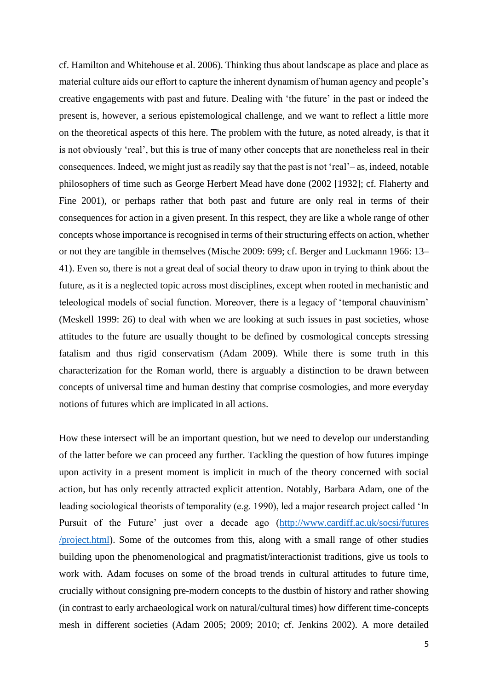cf. Hamilton and Whitehouse et al. 2006). Thinking thus about landscape as place and place as material culture aids our effort to capture the inherent dynamism of human agency and people's creative engagements with past and future. Dealing with 'the future' in the past or indeed the present is, however, a serious epistemological challenge, and we want to reflect a little more on the theoretical aspects of this here. The problem with the future, as noted already, is that it is not obviously 'real', but this is true of many other concepts that are nonetheless real in their consequences. Indeed, we might just as readily say that the past is not 'real'– as, indeed, notable philosophers of time such as George Herbert Mead have done (2002 [1932]; cf. Flaherty and Fine 2001), or perhaps rather that both past and future are only real in terms of their consequences for action in a given present. In this respect, they are like a whole range of other concepts whose importance is recognised in terms of their structuring effects on action, whether or not they are tangible in themselves (Mische 2009: 699; cf. Berger and Luckmann 1966: 13– 41). Even so, there is not a great deal of social theory to draw upon in trying to think about the future, as it is a neglected topic across most disciplines, except when rooted in mechanistic and teleological models of social function. Moreover, there is a legacy of 'temporal chauvinism' (Meskell 1999: 26) to deal with when we are looking at such issues in past societies, whose attitudes to the future are usually thought to be defined by cosmological concepts stressing fatalism and thus rigid conservatism (Adam 2009). While there is some truth in this characterization for the Roman world, there is arguably a distinction to be drawn between concepts of universal time and human destiny that comprise cosmologies, and more everyday notions of futures which are implicated in all actions.

How these intersect will be an important question, but we need to develop our understanding of the latter before we can proceed any further. Tackling the question of how futures impinge upon activity in a present moment is implicit in much of the theory concerned with social action, but has only recently attracted explicit attention. Notably, Barbara Adam, one of the leading sociological theorists of temporality (e.g. 1990), led a major research project called 'In Pursuit of the Future' just over a decade ago (http://www.cardiff.ac.uk/socsi/futures [/project.html\)](http://www.cardiff.ac.uk/socsi/futures%20/project.html). Some of the outcomes from this, along with a small range of other studies building upon the phenomenological and pragmatist/interactionist traditions, give us tools to work with. Adam focuses on some of the broad trends in cultural attitudes to future time, crucially without consigning pre-modern concepts to the dustbin of history and rather showing (in contrast to early archaeological work on natural/cultural times) how different time-concepts mesh in different societies (Adam 2005; 2009; 2010; cf. Jenkins 2002). A more detailed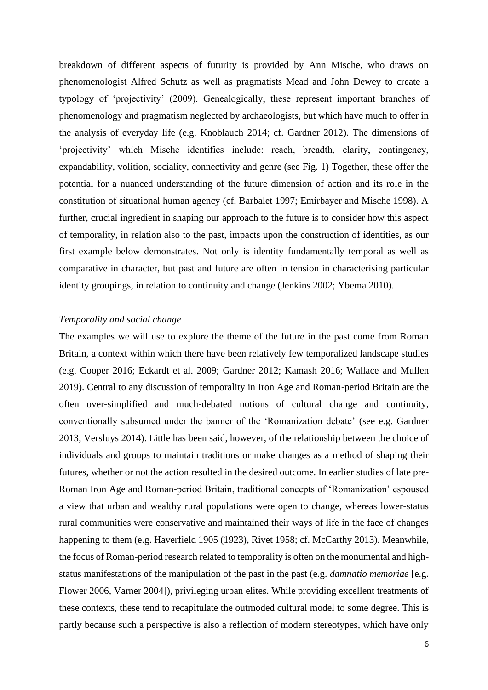breakdown of different aspects of futurity is provided by Ann Mische, who draws on phenomenologist Alfred Schutz as well as pragmatists Mead and John Dewey to create a typology of 'projectivity' (2009). Genealogically, these represent important branches of phenomenology and pragmatism neglected by archaeologists, but which have much to offer in the analysis of everyday life (e.g. Knoblauch 2014; cf. Gardner 2012). The dimensions of 'projectivity' which Mische identifies include: reach, breadth, clarity, contingency, expandability, volition, sociality, connectivity and genre (see Fig. 1) Together, these offer the potential for a nuanced understanding of the future dimension of action and its role in the constitution of situational human agency (cf. Barbalet 1997; Emirbayer and Mische 1998). A further, crucial ingredient in shaping our approach to the future is to consider how this aspect of temporality, in relation also to the past, impacts upon the construction of identities, as our first example below demonstrates. Not only is identity fundamentally temporal as well as comparative in character, but past and future are often in tension in characterising particular identity groupings, in relation to continuity and change (Jenkins 2002; Ybema 2010).

#### *Temporality and social change*

The examples we will use to explore the theme of the future in the past come from Roman Britain, a context within which there have been relatively few temporalized landscape studies (e.g. Cooper 2016; Eckardt et al. 2009; Gardner 2012; Kamash 2016; Wallace and Mullen 2019). Central to any discussion of temporality in Iron Age and Roman-period Britain are the often over-simplified and much-debated notions of cultural change and continuity, conventionally subsumed under the banner of the 'Romanization debate' (see e.g. Gardner 2013; Versluys 2014). Little has been said, however, of the relationship between the choice of individuals and groups to maintain traditions or make changes as a method of shaping their futures, whether or not the action resulted in the desired outcome. In earlier studies of late pre-Roman Iron Age and Roman-period Britain, traditional concepts of 'Romanization' espoused a view that urban and wealthy rural populations were open to change, whereas lower-status rural communities were conservative and maintained their ways of life in the face of changes happening to them (e.g. Haverfield 1905 (1923), Rivet 1958; cf. McCarthy 2013). Meanwhile, the focus of Roman-period research related to temporality is often on the monumental and highstatus manifestations of the manipulation of the past in the past (e.g. *damnatio memoriae* [e.g. Flower 2006, Varner 2004]), privileging urban elites. While providing excellent treatments of these contexts, these tend to recapitulate the outmoded cultural model to some degree. This is partly because such a perspective is also a reflection of modern stereotypes, which have only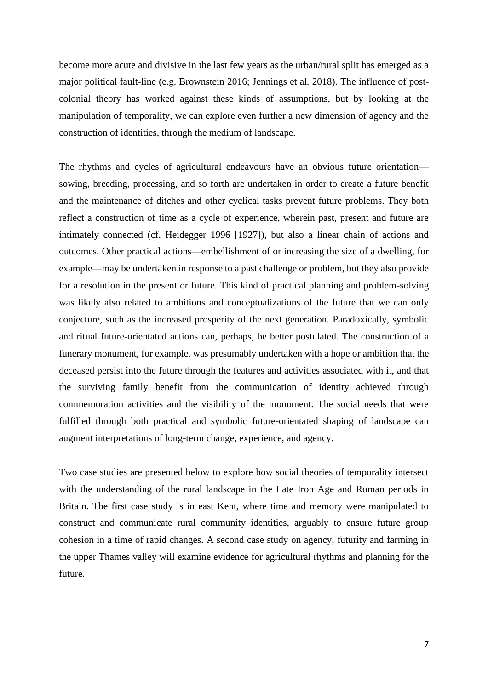become more acute and divisive in the last few years as the urban/rural split has emerged as a major political fault-line (e.g. Brownstein 2016; Jennings et al. 2018). The influence of postcolonial theory has worked against these kinds of assumptions, but by looking at the manipulation of temporality, we can explore even further a new dimension of agency and the construction of identities, through the medium of landscape.

The rhythms and cycles of agricultural endeavours have an obvious future orientation sowing, breeding, processing, and so forth are undertaken in order to create a future benefit and the maintenance of ditches and other cyclical tasks prevent future problems. They both reflect a construction of time as a cycle of experience, wherein past, present and future are intimately connected (cf. Heidegger 1996 [1927]), but also a linear chain of actions and outcomes. Other practical actions—embellishment of or increasing the size of a dwelling, for example—may be undertaken in response to a past challenge or problem, but they also provide for a resolution in the present or future. This kind of practical planning and problem-solving was likely also related to ambitions and conceptualizations of the future that we can only conjecture, such as the increased prosperity of the next generation. Paradoxically, symbolic and ritual future-orientated actions can, perhaps, be better postulated. The construction of a funerary monument, for example, was presumably undertaken with a hope or ambition that the deceased persist into the future through the features and activities associated with it, and that the surviving family benefit from the communication of identity achieved through commemoration activities and the visibility of the monument. The social needs that were fulfilled through both practical and symbolic future-orientated shaping of landscape can augment interpretations of long-term change, experience, and agency.

Two case studies are presented below to explore how social theories of temporality intersect with the understanding of the rural landscape in the Late Iron Age and Roman periods in Britain. The first case study is in east Kent, where time and memory were manipulated to construct and communicate rural community identities, arguably to ensure future group cohesion in a time of rapid changes. A second case study on agency, futurity and farming in the upper Thames valley will examine evidence for agricultural rhythms and planning for the future.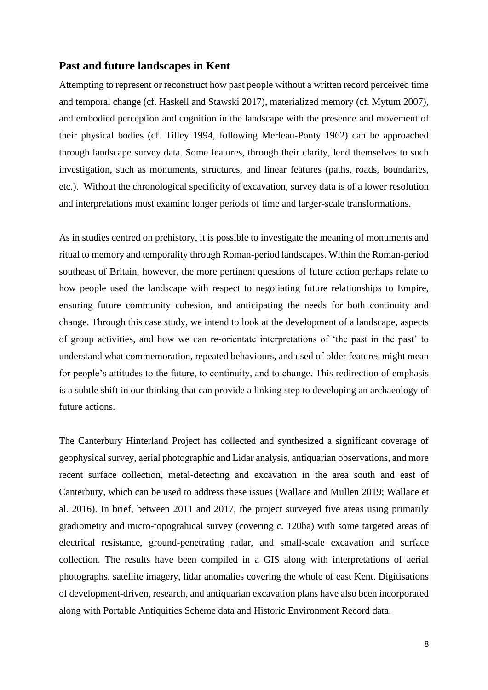## **Past and future landscapes in Kent**

Attempting to represent or reconstruct how past people without a written record perceived time and temporal change (cf. Haskell and Stawski 2017), materialized memory (cf. Mytum 2007), and embodied perception and cognition in the landscape with the presence and movement of their physical bodies (cf. Tilley 1994, following Merleau-Ponty 1962) can be approached through landscape survey data. Some features, through their clarity, lend themselves to such investigation, such as monuments, structures, and linear features (paths, roads, boundaries, etc.). Without the chronological specificity of excavation, survey data is of a lower resolution and interpretations must examine longer periods of time and larger-scale transformations.

As in studies centred on prehistory, it is possible to investigate the meaning of monuments and ritual to memory and temporality through Roman-period landscapes. Within the Roman-period southeast of Britain, however, the more pertinent questions of future action perhaps relate to how people used the landscape with respect to negotiating future relationships to Empire, ensuring future community cohesion, and anticipating the needs for both continuity and change. Through this case study, we intend to look at the development of a landscape, aspects of group activities, and how we can re-orientate interpretations of 'the past in the past' to understand what commemoration, repeated behaviours, and used of older features might mean for people's attitudes to the future, to continuity, and to change. This redirection of emphasis is a subtle shift in our thinking that can provide a linking step to developing an archaeology of future actions.

The Canterbury Hinterland Project has collected and synthesized a significant coverage of geophysical survey, aerial photographic and Lidar analysis, antiquarian observations, and more recent surface collection, metal-detecting and excavation in the area south and east of Canterbury, which can be used to address these issues (Wallace and Mullen 2019; Wallace et al. 2016). In brief, between 2011 and 2017, the project surveyed five areas using primarily gradiometry and micro-topograhical survey (covering c. 120ha) with some targeted areas of electrical resistance, ground-penetrating radar, and small-scale excavation and surface collection. The results have been compiled in a GIS along with interpretations of aerial photographs, satellite imagery, lidar anomalies covering the whole of east Kent. Digitisations of development-driven, research, and antiquarian excavation plans have also been incorporated along with Portable Antiquities Scheme data and Historic Environment Record data.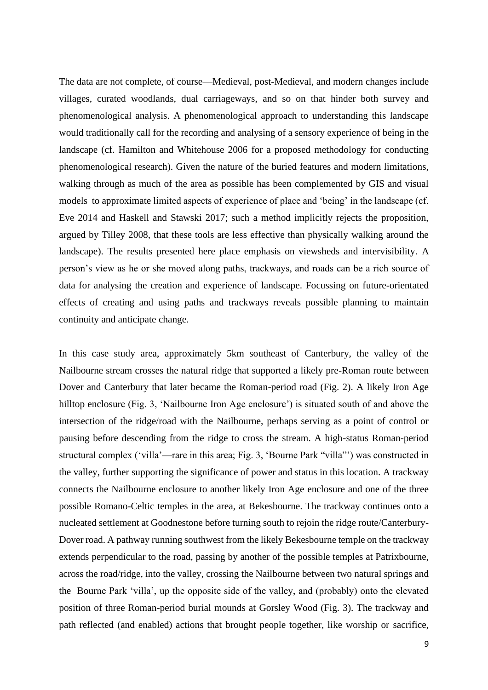The data are not complete, of course—Medieval, post-Medieval, and modern changes include villages, curated woodlands, dual carriageways, and so on that hinder both survey and phenomenological analysis. A phenomenological approach to understanding this landscape would traditionally call for the recording and analysing of a sensory experience of being in the landscape (cf. Hamilton and Whitehouse 2006 for a proposed methodology for conducting phenomenological research). Given the nature of the buried features and modern limitations, walking through as much of the area as possible has been complemented by GIS and visual models to approximate limited aspects of experience of place and 'being' in the landscape (cf. Eve 2014 and Haskell and Stawski 2017; such a method implicitly rejects the proposition, argued by Tilley 2008, that these tools are less effective than physically walking around the landscape). The results presented here place emphasis on viewsheds and intervisibility. A person's view as he or she moved along paths, trackways, and roads can be a rich source of data for analysing the creation and experience of landscape. Focussing on future-orientated effects of creating and using paths and trackways reveals possible planning to maintain continuity and anticipate change.

In this case study area, approximately 5km southeast of Canterbury, the valley of the Nailbourne stream crosses the natural ridge that supported a likely pre-Roman route between Dover and Canterbury that later became the Roman-period road (Fig. 2). A likely Iron Age hilltop enclosure (Fig. 3, 'Nailbourne Iron Age enclosure') is situated south of and above the intersection of the ridge/road with the Nailbourne, perhaps serving as a point of control or pausing before descending from the ridge to cross the stream. A high-status Roman-period structural complex ('villa'—rare in this area; Fig. 3, 'Bourne Park "villa"') was constructed in the valley, further supporting the significance of power and status in this location. A trackway connects the Nailbourne enclosure to another likely Iron Age enclosure and one of the three possible Romano-Celtic temples in the area, at Bekesbourne. The trackway continues onto a nucleated settlement at Goodnestone before turning south to rejoin the ridge route/Canterbury-Dover road. A pathway running southwest from the likely Bekesbourne temple on the trackway extends perpendicular to the road, passing by another of the possible temples at Patrixbourne, across the road/ridge, into the valley, crossing the Nailbourne between two natural springs and the Bourne Park 'villa', up the opposite side of the valley, and (probably) onto the elevated position of three Roman-period burial mounds at Gorsley Wood (Fig. 3). The trackway and path reflected (and enabled) actions that brought people together, like worship or sacrifice,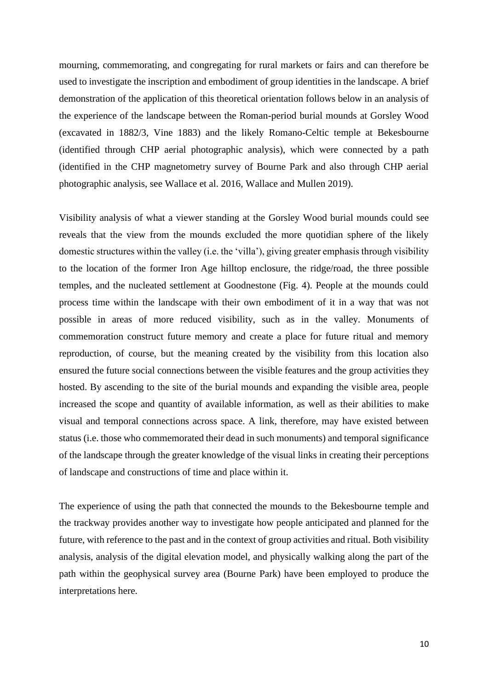mourning, commemorating, and congregating for rural markets or fairs and can therefore be used to investigate the inscription and embodiment of group identities in the landscape. A brief demonstration of the application of this theoretical orientation follows below in an analysis of the experience of the landscape between the Roman-period burial mounds at Gorsley Wood (excavated in 1882/3, Vine 1883) and the likely Romano-Celtic temple at Bekesbourne (identified through CHP aerial photographic analysis), which were connected by a path (identified in the CHP magnetometry survey of Bourne Park and also through CHP aerial photographic analysis, see Wallace et al. 2016, Wallace and Mullen 2019).

Visibility analysis of what a viewer standing at the Gorsley Wood burial mounds could see reveals that the view from the mounds excluded the more quotidian sphere of the likely domestic structures within the valley (i.e. the 'villa'), giving greater emphasis through visibility to the location of the former Iron Age hilltop enclosure, the ridge/road, the three possible temples, and the nucleated settlement at Goodnestone (Fig. 4). People at the mounds could process time within the landscape with their own embodiment of it in a way that was not possible in areas of more reduced visibility, such as in the valley. Monuments of commemoration construct future memory and create a place for future ritual and memory reproduction, of course, but the meaning created by the visibility from this location also ensured the future social connections between the visible features and the group activities they hosted. By ascending to the site of the burial mounds and expanding the visible area, people increased the scope and quantity of available information, as well as their abilities to make visual and temporal connections across space. A link, therefore, may have existed between status (i.e. those who commemorated their dead in such monuments) and temporal significance of the landscape through the greater knowledge of the visual links in creating their perceptions of landscape and constructions of time and place within it.

The experience of using the path that connected the mounds to the Bekesbourne temple and the trackway provides another way to investigate how people anticipated and planned for the future, with reference to the past and in the context of group activities and ritual. Both visibility analysis, analysis of the digital elevation model, and physically walking along the part of the path within the geophysical survey area (Bourne Park) have been employed to produce the interpretations here.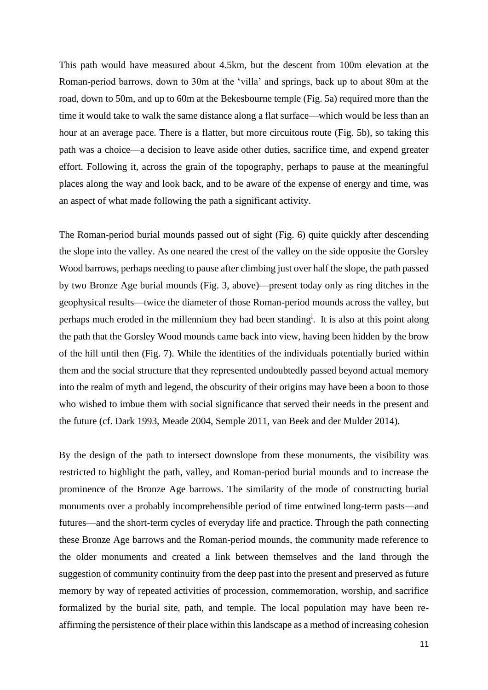This path would have measured about 4.5km, but the descent from 100m elevation at the Roman-period barrows, down to 30m at the 'villa' and springs, back up to about 80m at the road, down to 50m, and up to 60m at the Bekesbourne temple (Fig. 5a) required more than the time it would take to walk the same distance along a flat surface—which would be less than an hour at an average pace. There is a flatter, but more circuitous route (Fig. 5b), so taking this path was a choice—a decision to leave aside other duties, sacrifice time, and expend greater effort. Following it, across the grain of the topography, perhaps to pause at the meaningful places along the way and look back, and to be aware of the expense of energy and time, was an aspect of what made following the path a significant activity.

The Roman-period burial mounds passed out of sight (Fig. 6) quite quickly after descending the slope into the valley. As one neared the crest of the valley on the side opposite the Gorsley Wood barrows, perhaps needing to pause after climbing just over half the slope, the path passed by two Bronze Age burial mounds (Fig. 3, above)—present today only as ring ditches in the geophysical results—twice the diameter of those Roman-period mounds across the valley, but perhaps much eroded in the millennium they had been standing<sup>i</sup>. It is also at this point along the path that the Gorsley Wood mounds came back into view, having been hidden by the brow of the hill until then (Fig. 7). While the identities of the individuals potentially buried within them and the social structure that they represented undoubtedly passed beyond actual memory into the realm of myth and legend, the obscurity of their origins may have been a boon to those who wished to imbue them with social significance that served their needs in the present and the future (cf. Dark 1993, Meade 2004, Semple 2011, van Beek and der Mulder 2014).

By the design of the path to intersect downslope from these monuments, the visibility was restricted to highlight the path, valley, and Roman-period burial mounds and to increase the prominence of the Bronze Age barrows. The similarity of the mode of constructing burial monuments over a probably incomprehensible period of time entwined long-term pasts—and futures—and the short-term cycles of everyday life and practice. Through the path connecting these Bronze Age barrows and the Roman-period mounds, the community made reference to the older monuments and created a link between themselves and the land through the suggestion of community continuity from the deep past into the present and preserved as future memory by way of repeated activities of procession, commemoration, worship, and sacrifice formalized by the burial site, path, and temple. The local population may have been reaffirming the persistence of their place within this landscape as a method of increasing cohesion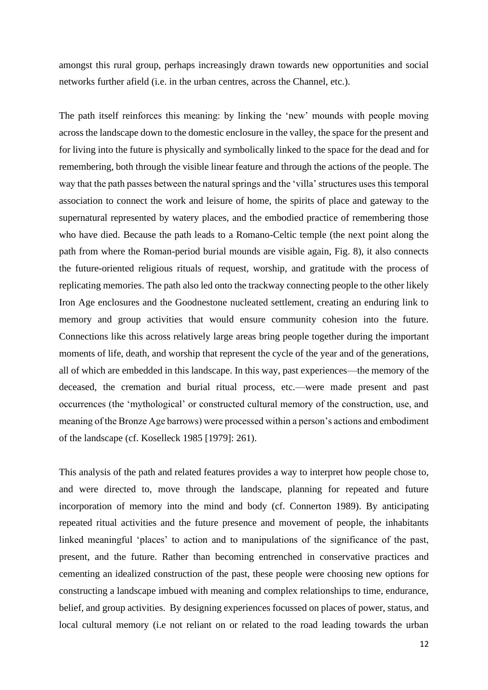amongst this rural group, perhaps increasingly drawn towards new opportunities and social networks further afield (i.e. in the urban centres, across the Channel, etc.).

The path itself reinforces this meaning: by linking the 'new' mounds with people moving across the landscape down to the domestic enclosure in the valley, the space for the present and for living into the future is physically and symbolically linked to the space for the dead and for remembering, both through the visible linear feature and through the actions of the people. The way that the path passes between the natural springs and the 'villa' structures uses this temporal association to connect the work and leisure of home, the spirits of place and gateway to the supernatural represented by watery places, and the embodied practice of remembering those who have died. Because the path leads to a Romano-Celtic temple (the next point along the path from where the Roman-period burial mounds are visible again, Fig. 8), it also connects the future-oriented religious rituals of request, worship, and gratitude with the process of replicating memories. The path also led onto the trackway connecting people to the other likely Iron Age enclosures and the Goodnestone nucleated settlement, creating an enduring link to memory and group activities that would ensure community cohesion into the future. Connections like this across relatively large areas bring people together during the important moments of life, death, and worship that represent the cycle of the year and of the generations, all of which are embedded in this landscape. In this way, past experiences—the memory of the deceased, the cremation and burial ritual process, etc.—were made present and past occurrences (the 'mythological' or constructed cultural memory of the construction, use, and meaning of the Bronze Age barrows) were processed within a person's actions and embodiment of the landscape (cf. Koselleck 1985 [1979]: 261).

This analysis of the path and related features provides a way to interpret how people chose to, and were directed to, move through the landscape, planning for repeated and future incorporation of memory into the mind and body (cf. Connerton 1989). By anticipating repeated ritual activities and the future presence and movement of people, the inhabitants linked meaningful 'places' to action and to manipulations of the significance of the past, present, and the future. Rather than becoming entrenched in conservative practices and cementing an idealized construction of the past, these people were choosing new options for constructing a landscape imbued with meaning and complex relationships to time, endurance, belief, and group activities. By designing experiences focussed on places of power, status, and local cultural memory (i.e not reliant on or related to the road leading towards the urban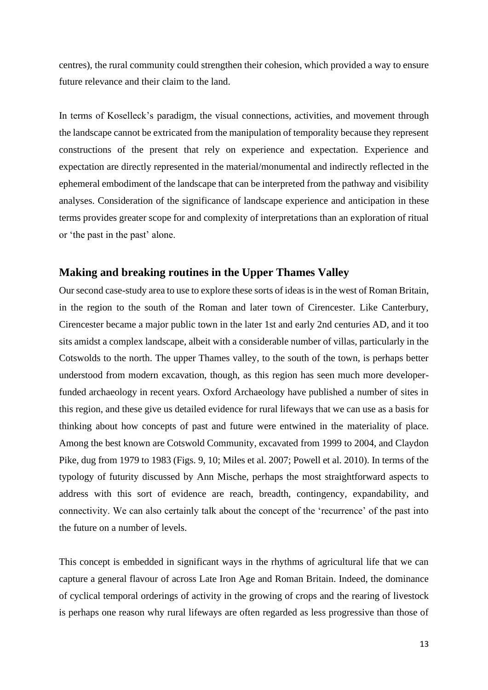centres), the rural community could strengthen their cohesion, which provided a way to ensure future relevance and their claim to the land.

In terms of Koselleck's paradigm, the visual connections, activities, and movement through the landscape cannot be extricated from the manipulation of temporality because they represent constructions of the present that rely on experience and expectation. Experience and expectation are directly represented in the material/monumental and indirectly reflected in the ephemeral embodiment of the landscape that can be interpreted from the pathway and visibility analyses. Consideration of the significance of landscape experience and anticipation in these terms provides greater scope for and complexity of interpretations than an exploration of ritual or 'the past in the past' alone.

## **Making and breaking routines in the Upper Thames Valley**

Our second case-study area to use to explore these sorts of ideas is in the west of Roman Britain, in the region to the south of the Roman and later town of Cirencester. Like Canterbury, Cirencester became a major public town in the later 1st and early 2nd centuries AD, and it too sits amidst a complex landscape, albeit with a considerable number of villas, particularly in the Cotswolds to the north. The upper Thames valley, to the south of the town, is perhaps better understood from modern excavation, though, as this region has seen much more developerfunded archaeology in recent years. Oxford Archaeology have published a number of sites in this region, and these give us detailed evidence for rural lifeways that we can use as a basis for thinking about how concepts of past and future were entwined in the materiality of place. Among the best known are Cotswold Community, excavated from 1999 to 2004, and Claydon Pike, dug from 1979 to 1983 (Figs. 9, 10; Miles et al. 2007; Powell et al. 2010). In terms of the typology of futurity discussed by Ann Mische, perhaps the most straightforward aspects to address with this sort of evidence are reach, breadth, contingency, expandability, and connectivity. We can also certainly talk about the concept of the 'recurrence' of the past into the future on a number of levels.

This concept is embedded in significant ways in the rhythms of agricultural life that we can capture a general flavour of across Late Iron Age and Roman Britain. Indeed, the dominance of cyclical temporal orderings of activity in the growing of crops and the rearing of livestock is perhaps one reason why rural lifeways are often regarded as less progressive than those of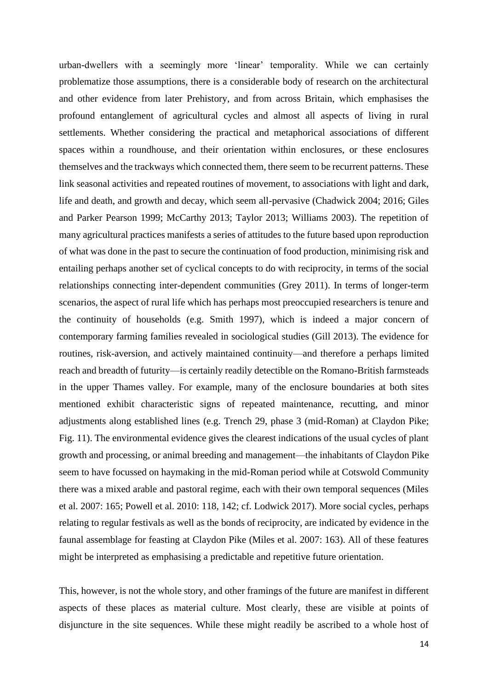urban-dwellers with a seemingly more 'linear' temporality. While we can certainly problematize those assumptions, there is a considerable body of research on the architectural and other evidence from later Prehistory, and from across Britain, which emphasises the profound entanglement of agricultural cycles and almost all aspects of living in rural settlements. Whether considering the practical and metaphorical associations of different spaces within a roundhouse, and their orientation within enclosures, or these enclosures themselves and the trackways which connected them, there seem to be recurrent patterns. These link seasonal activities and repeated routines of movement, to associations with light and dark, life and death, and growth and decay, which seem all-pervasive (Chadwick 2004; 2016; Giles and Parker Pearson 1999; McCarthy 2013; Taylor 2013; Williams 2003). The repetition of many agricultural practices manifests a series of attitudes to the future based upon reproduction of what was done in the past to secure the continuation of food production, minimising risk and entailing perhaps another set of cyclical concepts to do with reciprocity, in terms of the social relationships connecting inter-dependent communities (Grey 2011). In terms of longer-term scenarios, the aspect of rural life which has perhaps most preoccupied researchers is tenure and the continuity of households (e.g. Smith 1997), which is indeed a major concern of contemporary farming families revealed in sociological studies (Gill 2013). The evidence for routines, risk-aversion, and actively maintained continuity—and therefore a perhaps limited reach and breadth of futurity—is certainly readily detectible on the Romano-British farmsteads in the upper Thames valley. For example, many of the enclosure boundaries at both sites mentioned exhibit characteristic signs of repeated maintenance, recutting, and minor adjustments along established lines (e.g. Trench 29, phase 3 (mid-Roman) at Claydon Pike; Fig. 11). The environmental evidence gives the clearest indications of the usual cycles of plant growth and processing, or animal breeding and management—the inhabitants of Claydon Pike seem to have focussed on haymaking in the mid-Roman period while at Cotswold Community there was a mixed arable and pastoral regime, each with their own temporal sequences (Miles et al. 2007: 165; Powell et al. 2010: 118, 142; cf. Lodwick 2017). More social cycles, perhaps relating to regular festivals as well as the bonds of reciprocity, are indicated by evidence in the faunal assemblage for feasting at Claydon Pike (Miles et al. 2007: 163). All of these features might be interpreted as emphasising a predictable and repetitive future orientation.

This, however, is not the whole story, and other framings of the future are manifest in different aspects of these places as material culture. Most clearly, these are visible at points of disjuncture in the site sequences. While these might readily be ascribed to a whole host of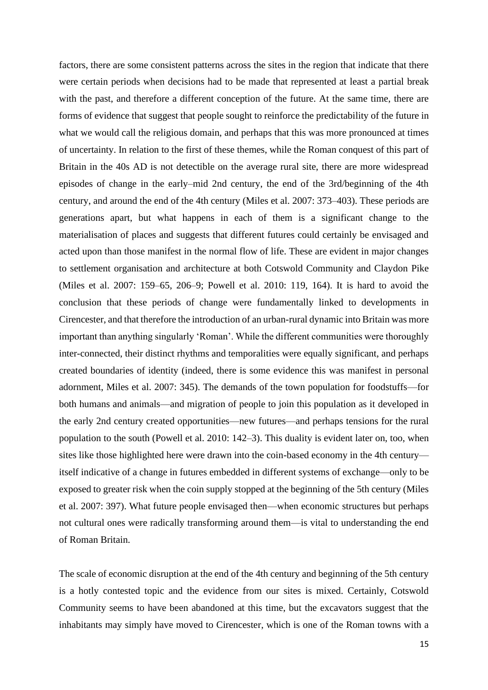factors, there are some consistent patterns across the sites in the region that indicate that there were certain periods when decisions had to be made that represented at least a partial break with the past, and therefore a different conception of the future. At the same time, there are forms of evidence that suggest that people sought to reinforce the predictability of the future in what we would call the religious domain, and perhaps that this was more pronounced at times of uncertainty. In relation to the first of these themes, while the Roman conquest of this part of Britain in the 40s AD is not detectible on the average rural site, there are more widespread episodes of change in the early–mid 2nd century, the end of the 3rd/beginning of the 4th century, and around the end of the 4th century (Miles et al. 2007: 373–403). These periods are generations apart, but what happens in each of them is a significant change to the materialisation of places and suggests that different futures could certainly be envisaged and acted upon than those manifest in the normal flow of life. These are evident in major changes to settlement organisation and architecture at both Cotswold Community and Claydon Pike (Miles et al. 2007: 159–65, 206–9; Powell et al. 2010: 119, 164). It is hard to avoid the conclusion that these periods of change were fundamentally linked to developments in Cirencester, and that therefore the introduction of an urban-rural dynamic into Britain was more important than anything singularly 'Roman'. While the different communities were thoroughly inter-connected, their distinct rhythms and temporalities were equally significant, and perhaps created boundaries of identity (indeed, there is some evidence this was manifest in personal adornment, Miles et al. 2007: 345). The demands of the town population for foodstuffs—for both humans and animals—and migration of people to join this population as it developed in the early 2nd century created opportunities—new futures—and perhaps tensions for the rural population to the south (Powell et al. 2010: 142–3). This duality is evident later on, too, when sites like those highlighted here were drawn into the coin-based economy in the 4th century itself indicative of a change in futures embedded in different systems of exchange—only to be exposed to greater risk when the coin supply stopped at the beginning of the 5th century (Miles et al. 2007: 397). What future people envisaged then—when economic structures but perhaps not cultural ones were radically transforming around them—is vital to understanding the end of Roman Britain.

The scale of economic disruption at the end of the 4th century and beginning of the 5th century is a hotly contested topic and the evidence from our sites is mixed. Certainly, Cotswold Community seems to have been abandoned at this time, but the excavators suggest that the inhabitants may simply have moved to Cirencester, which is one of the Roman towns with a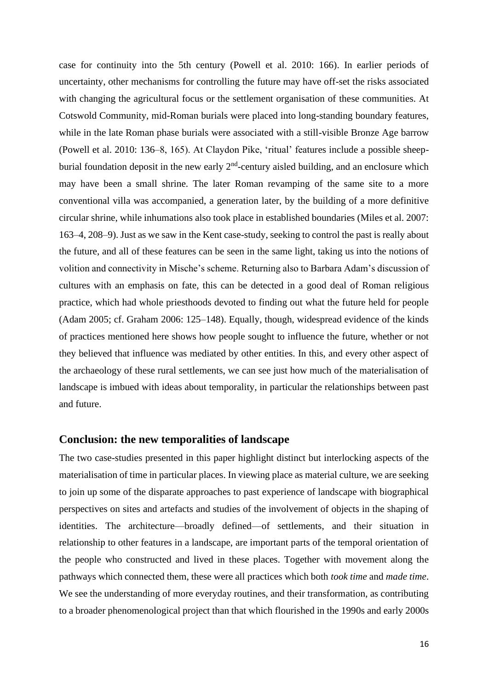case for continuity into the 5th century (Powell et al. 2010: 166). In earlier periods of uncertainty, other mechanisms for controlling the future may have off-set the risks associated with changing the agricultural focus or the settlement organisation of these communities. At Cotswold Community, mid-Roman burials were placed into long-standing boundary features, while in the late Roman phase burials were associated with a still-visible Bronze Age barrow (Powell et al. 2010: 136–8, 165). At Claydon Pike, 'ritual' features include a possible sheepburial foundation deposit in the new early  $2<sup>nd</sup>$ -century aisled building, and an enclosure which may have been a small shrine. The later Roman revamping of the same site to a more conventional villa was accompanied, a generation later, by the building of a more definitive circular shrine, while inhumations also took place in established boundaries (Miles et al. 2007: 163–4, 208–9). Just as we saw in the Kent case-study, seeking to control the past is really about the future, and all of these features can be seen in the same light, taking us into the notions of volition and connectivity in Mische's scheme. Returning also to Barbara Adam's discussion of cultures with an emphasis on fate, this can be detected in a good deal of Roman religious practice, which had whole priesthoods devoted to finding out what the future held for people (Adam 2005; cf. Graham 2006: 125–148). Equally, though, widespread evidence of the kinds of practices mentioned here shows how people sought to influence the future, whether or not they believed that influence was mediated by other entities. In this, and every other aspect of the archaeology of these rural settlements, we can see just how much of the materialisation of landscape is imbued with ideas about temporality, in particular the relationships between past and future.

### **Conclusion: the new temporalities of landscape**

The two case-studies presented in this paper highlight distinct but interlocking aspects of the materialisation of time in particular places. In viewing place as material culture, we are seeking to join up some of the disparate approaches to past experience of landscape with biographical perspectives on sites and artefacts and studies of the involvement of objects in the shaping of identities. The architecture—broadly defined—of settlements, and their situation in relationship to other features in a landscape, are important parts of the temporal orientation of the people who constructed and lived in these places. Together with movement along the pathways which connected them, these were all practices which both *took time* and *made time*. We see the understanding of more everyday routines, and their transformation, as contributing to a broader phenomenological project than that which flourished in the 1990s and early 2000s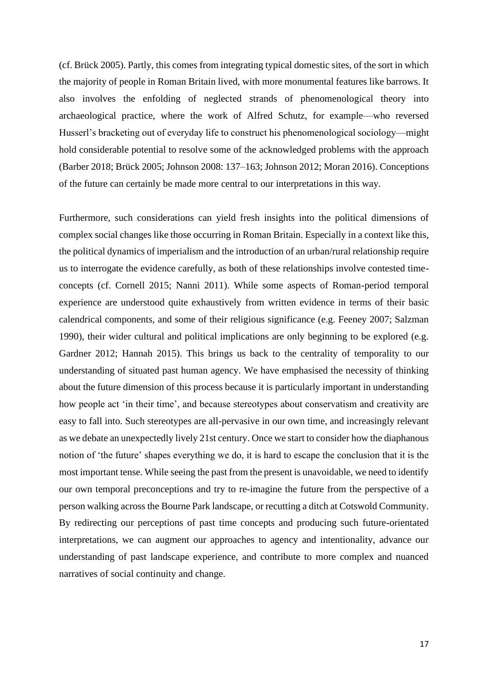(cf. Brück 2005). Partly, this comes from integrating typical domestic sites, of the sort in which the majority of people in Roman Britain lived, with more monumental features like barrows. It also involves the enfolding of neglected strands of phenomenological theory into archaeological practice, where the work of Alfred Schutz, for example—who reversed Husserl's bracketing out of everyday life to construct his phenomenological sociology—might hold considerable potential to resolve some of the acknowledged problems with the approach (Barber 2018; Brück 2005; Johnson 2008: 137–163; Johnson 2012; Moran 2016). Conceptions of the future can certainly be made more central to our interpretations in this way.

Furthermore, such considerations can yield fresh insights into the political dimensions of complex social changes like those occurring in Roman Britain. Especially in a context like this, the political dynamics of imperialism and the introduction of an urban/rural relationship require us to interrogate the evidence carefully, as both of these relationships involve contested timeconcepts (cf. Cornell 2015; Nanni 2011). While some aspects of Roman-period temporal experience are understood quite exhaustively from written evidence in terms of their basic calendrical components, and some of their religious significance (e.g. Feeney 2007; Salzman 1990), their wider cultural and political implications are only beginning to be explored (e.g. Gardner 2012; Hannah 2015). This brings us back to the centrality of temporality to our understanding of situated past human agency. We have emphasised the necessity of thinking about the future dimension of this process because it is particularly important in understanding how people act 'in their time', and because stereotypes about conservatism and creativity are easy to fall into. Such stereotypes are all-pervasive in our own time, and increasingly relevant as we debate an unexpectedly lively 21st century. Once we start to consider how the diaphanous notion of 'the future' shapes everything we do, it is hard to escape the conclusion that it is the most important tense. While seeing the past from the present is unavoidable, we need to identify our own temporal preconceptions and try to re-imagine the future from the perspective of a person walking across the Bourne Park landscape, or recutting a ditch at Cotswold Community. By redirecting our perceptions of past time concepts and producing such future-orientated interpretations, we can augment our approaches to agency and intentionality, advance our understanding of past landscape experience, and contribute to more complex and nuanced narratives of social continuity and change.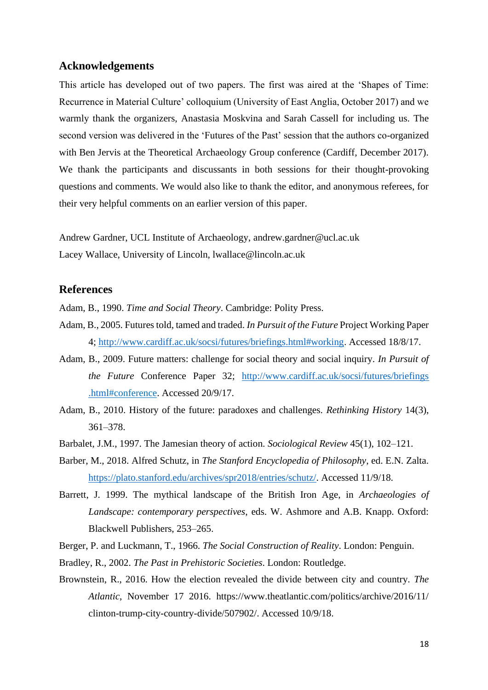### **Acknowledgements**

This article has developed out of two papers. The first was aired at the 'Shapes of Time: Recurrence in Material Culture' colloquium (University of East Anglia, October 2017) and we warmly thank the organizers, Anastasia Moskvina and Sarah Cassell for including us. The second version was delivered in the 'Futures of the Past' session that the authors co-organized with Ben Jervis at the Theoretical Archaeology Group conference (Cardiff, December 2017). We thank the participants and discussants in both sessions for their thought-provoking questions and comments. We would also like to thank the editor, and anonymous referees, for their very helpful comments on an earlier version of this paper.

Andrew Gardner, UCL Institute of Archaeology, andrew.gardner@ucl.ac.uk Lacey Wallace, University of Lincoln, lwallace@lincoln.ac.uk

### **References**

Adam, B., 1990. *Time and Social Theory*. Cambridge: Polity Press.

- Adam, B., 2005. Futures told, tamed and traded. *In Pursuit of the Future* Project Working Paper 4; [http://www.cardiff.ac.uk/socsi/futures/briefings.html#working.](http://www.cardiff.ac.uk/socsi/futures/briefings.html#working) Accessed 18/8/17.
- Adam, B., 2009. Future matters: challenge for social theory and social inquiry. *In Pursuit of the Future* Conference Paper 32; [http://www.cardiff.ac.uk/socsi/futures/briefings](http://www.cardiff.ac.uk/socsi/futures/briefings.html) [.html#](http://www.cardiff.ac.uk/socsi/futures/briefings.html)conference. Accessed 20/9/17.
- Adam, B., 2010. History of the future: paradoxes and challenges. *Rethinking History* 14(3), 361–378.
- Barbalet, J.M., 1997. The Jamesian theory of action. *Sociological Review* 45(1), 102–121.
- Barber, M., 2018. Alfred Schutz, in *The Stanford Encyclopedia of Philosophy*, ed. E.N. Zalta. [https://plato.stanford.edu/archives/spr2018/entries/schutz/.](https://plato.stanford.edu/archives/spr2018/entries/schutz/) Accessed 11/9/18.
- Barrett, J. 1999. The mythical landscape of the British Iron Age, in *Archaeologies of Landscape: contemporary perspectives*, eds. W. Ashmore and A.B. Knapp. Oxford: Blackwell Publishers, 253–265.
- Berger, P. and Luckmann, T., 1966. *The Social Construction of Reality*. London: Penguin.
- Bradley, R., 2002. *The Past in Prehistoric Societies*. London: Routledge.
- Brownstein, R., 2016. How the election revealed the divide between city and country. *The Atlantic*, November 17 2016. https://www.theatlantic.com/politics/archive/2016/11/ clinton-trump-city-country-divide/507902/. Accessed 10/9/18.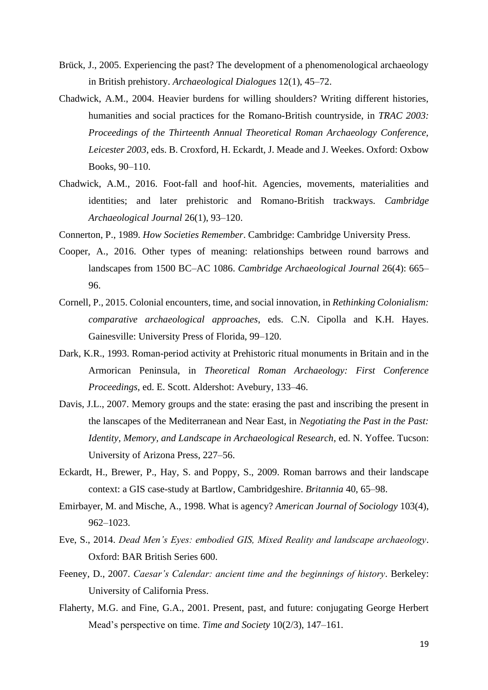- Brück, J., 2005. Experiencing the past? The development of a phenomenological archaeology in British prehistory. *Archaeological Dialogues* 12(1), 45–72.
- Chadwick, A.M., 2004. Heavier burdens for willing shoulders? Writing different histories, humanities and social practices for the Romano-British countryside, in *TRAC 2003: Proceedings of the Thirteenth Annual Theoretical Roman Archaeology Conference, Leicester 2003*, eds. B. Croxford, H. Eckardt, J. Meade and J. Weekes. Oxford: Oxbow Books, 90–110.
- Chadwick, A.M., 2016. Foot-fall and hoof-hit. Agencies, movements, materialities and identities; and later prehistoric and Romano-British trackways. *Cambridge Archaeological Journal* 26(1), 93–120.
- Connerton, P., 1989. *How Societies Remember*. Cambridge: Cambridge University Press.
- Cooper, A., 2016. Other types of meaning: relationships between round barrows and landscapes from 1500 BC–AC 1086. *Cambridge Archaeological Journal* 26(4): 665– 96.
- Cornell, P., 2015. Colonial encounters, time, and social innovation, in *Rethinking Colonialism: comparative archaeological approaches*, eds. C.N. Cipolla and K.H. Hayes. Gainesville: University Press of Florida, 99–120.
- Dark, K.R., 1993. Roman-period activity at Prehistoric ritual monuments in Britain and in the Armorican Peninsula, in *Theoretical Roman Archaeology: First Conference Proceedings*, ed. E. Scott. Aldershot: Avebury, 133–46.
- Davis, J.L., 2007. Memory groups and the state: erasing the past and inscribing the present in the lanscapes of the Mediterranean and Near East, in *Negotiating the Past in the Past: Identity, Memory, and Landscape in Archaeological Research*, ed. N. Yoffee. Tucson: University of Arizona Press, 227–56.
- Eckardt, H., Brewer, P., Hay, S. and Poppy, S., 2009. Roman barrows and their landscape context: a GIS case-study at Bartlow, Cambridgeshire. *Britannia* 40, 65–98.
- Emirbayer, M. and Mische, A., 1998. What is agency? *American Journal of Sociology* 103(4), 962–1023.
- Eve, S., 2014. *Dead Men's Eyes: embodied GIS, Mixed Reality and landscape archaeology*. Oxford: BAR British Series 600.
- Feeney, D., 2007. *Caesar's Calendar: ancient time and the beginnings of history*. Berkeley: University of California Press.
- Flaherty, M.G. and Fine, G.A., 2001. Present, past, and future: conjugating George Herbert Mead's perspective on time. *Time and Society* 10(2/3), 147–161.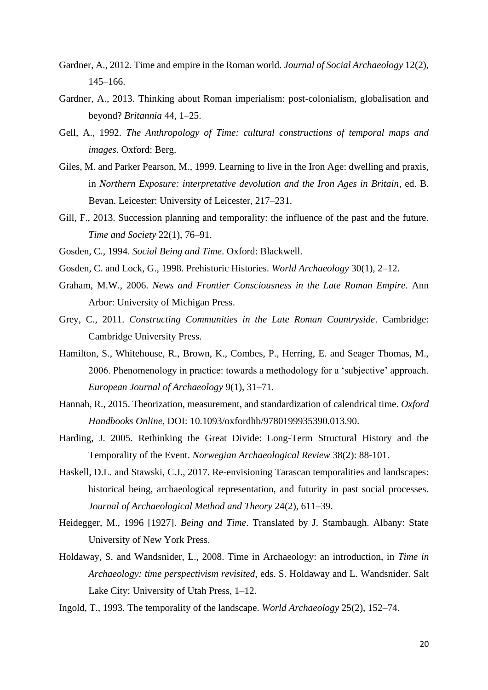- Gardner, A., 2012. Time and empire in the Roman world. *Journal of Social Archaeology* 12(2), 145–166.
- Gardner, A., 2013. Thinking about Roman imperialism: post-colonialism, globalisation and beyond? *Britannia* 44, 1–25.
- Gell, A., 1992. *The Anthropology of Time: cultural constructions of temporal maps and images*. Oxford: Berg.
- Giles, M. and Parker Pearson, M., 1999. Learning to live in the Iron Age: dwelling and praxis, in *Northern Exposure: interpretative devolution and the Iron Ages in Britain*, ed. B. Bevan. Leicester: University of Leicester, 217–231.
- Gill, F., 2013. Succession planning and temporality: the influence of the past and the future. *Time and Society* 22(1), 76–91.
- Gosden, C., 1994. *Social Being and Time*. Oxford: Blackwell.
- Gosden, C. and Lock, G., 1998. Prehistoric Histories. *World Archaeology* 30(1), 2–12.
- Graham, M.W., 2006. *News and Frontier Consciousness in the Late Roman Empire*. Ann Arbor: University of Michigan Press.
- Grey, C., 2011. *Constructing Communities in the Late Roman Countryside*. Cambridge: Cambridge University Press.
- Hamilton, S., Whitehouse, R., Brown, K., Combes, P., Herring, E. and Seager Thomas, M., 2006. Phenomenology in practice: towards a methodology for a 'subjective' approach. *European Journal of Archaeology* 9(1), 31–71.
- Hannah, R., 2015. Theorization, measurement, and standardization of calendrical time. *Oxford Handbooks Online*, DOI: 10.1093/oxfordhb/9780199935390.013.90.
- Harding, J. 2005. Rethinking the Great Divide: Long-Term Structural History and the Temporality of the Event. *Norwegian Archaeological Review* 38(2): 88-101.
- Haskell, D.L. and Stawski, C.J., 2017. Re-envisioning Tarascan temporalities and landscapes: historical being, archaeological representation, and futurity in past social processes. *Journal of Archaeological Method and Theory* 24(2), 611–39.
- Heidegger, M., 1996 [1927]. *Being and Time*. Translated by J. Stambaugh. Albany: State University of New York Press.
- Holdaway, S. and Wandsnider, L., 2008. Time in Archaeology: an introduction, in *Time in Archaeology: time perspectivism revisited*, eds. S. Holdaway and L. Wandsnider. Salt Lake City: University of Utah Press, 1–12.
- Ingold, T., 1993. The temporality of the landscape. *World Archaeology* 25(2), 152–74.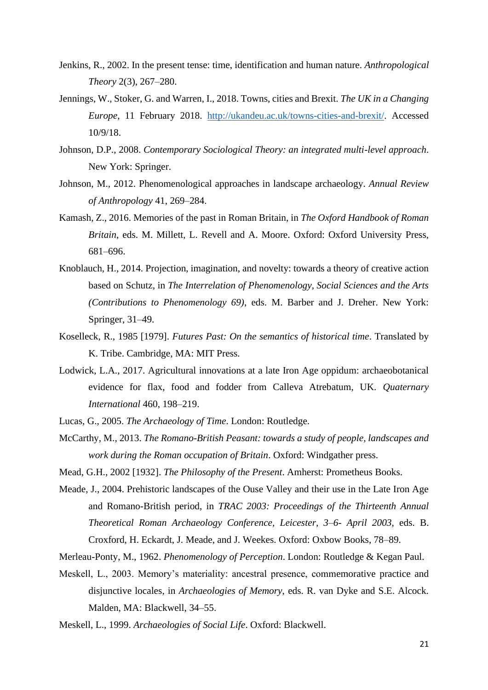- Jenkins, R., 2002. In the present tense: time, identification and human nature. *Anthropological Theory* 2(3), 267–280.
- Jennings, W., Stoker, G. and Warren, I., 2018. Towns, cities and Brexit. *The UK in a Changing Europe*, 11 February 2018. [http://ukandeu.ac.uk/towns-cities-and-brexit/.](http://ukandeu.ac.uk/towns-cities-and-brexit/) Accessed 10/9/18.
- Johnson, D.P., 2008. *Contemporary Sociological Theory: an integrated multi-level approach*. New York: Springer.
- Johnson, M., 2012. Phenomenological approaches in landscape archaeology. *Annual Review of Anthropology* 41, 269–284.
- Kamash, Z., 2016. Memories of the past in Roman Britain, in *The Oxford Handbook of Roman Britain*, eds. M. Millett, L. Revell and A. Moore. Oxford: Oxford University Press, 681–696.
- Knoblauch, H., 2014. Projection, imagination, and novelty: towards a theory of creative action based on Schutz, in *The Interrelation of Phenomenology, Social Sciences and the Arts (Contributions to Phenomenology 69)*, eds. M. Barber and J. Dreher. New York: Springer, 31–49.
- Koselleck, R., 1985 [1979]. *Futures Past: On the semantics of historical time*. Translated by K. Tribe. Cambridge, MA: MIT Press.
- Lodwick, L.A., 2017. Agricultural innovations at a late Iron Age oppidum: archaeobotanical evidence for flax, food and fodder from Calleva Atrebatum, UK. *Quaternary International* 460, 198–219.
- Lucas, G., 2005. *The Archaeology of Time*. London: Routledge.
- McCarthy, M., 2013. *The Romano-British Peasant: towards a study of people, landscapes and work during the Roman occupation of Britain*. Oxford: Windgather press.
- Mead, G.H., 2002 [1932]. *The Philosophy of the Present*. Amherst: Prometheus Books.
- Meade, J., 2004. Prehistoric landscapes of the Ouse Valley and their use in the Late Iron Age and Romano-British period, in *TRAC 2003: Proceedings of the Thirteenth Annual Theoretical Roman Archaeology Conference, Leicester, 3–6- April 2003*, eds. B. Croxford, H. Eckardt, J. Meade, and J. Weekes. Oxford: Oxbow Books, 78–89.
- Merleau-Ponty, M., 1962. *Phenomenology of Perception*. London: Routledge & Kegan Paul.
- Meskell, L., 2003. Memory's materiality: ancestral presence, commemorative practice and disjunctive locales, in *Archaeologies of Memory*, eds. R. van Dyke and S.E. Alcock. Malden, MA: Blackwell, 34–55.

Meskell, L., 1999. *Archaeologies of Social Life*. Oxford: Blackwell.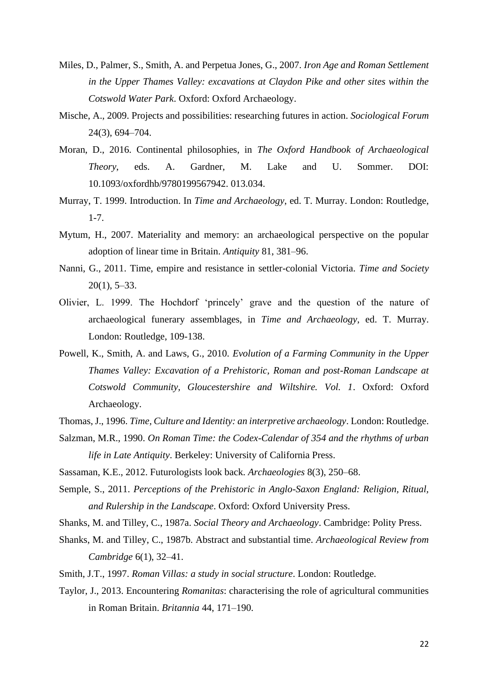- Miles, D., Palmer, S., Smith, A. and Perpetua Jones, G., 2007. *Iron Age and Roman Settlement in the Upper Thames Valley: excavations at Claydon Pike and other sites within the Cotswold Water Park*. Oxford: Oxford Archaeology.
- Mische, A., 2009. Projects and possibilities: researching futures in action. *Sociological Forum* 24(3), 694–704.
- Moran, D., 2016. Continental philosophies, in *The Oxford Handbook of Archaeological Theory*, eds. A. Gardner, M. Lake and U. Sommer. DOI: 10.1093/oxfordhb/9780199567942. 013.034.
- Murray, T. 1999. Introduction. In *Time and Archaeology*, ed. T. Murray. London: Routledge, 1-7.
- Mytum, H., 2007. Materiality and memory: an archaeological perspective on the popular adoption of linear time in Britain. *Antiquity* 81, 381–96.
- Nanni, G., 2011. Time, empire and resistance in settler-colonial Victoria. *Time and Society* 20(1), 5–33.
- Olivier, L. 1999. The Hochdorf 'princely' grave and the question of the nature of archaeological funerary assemblages, in *Time and Archaeology*, ed. T. Murray. London: Routledge, 109-138.
- Powell, K., Smith, A. and Laws, G., 2010. *Evolution of a Farming Community in the Upper Thames Valley: Excavation of a Prehistoric, Roman and post-Roman Landscape at Cotswold Community, Gloucestershire and Wiltshire. Vol. 1*. Oxford: Oxford Archaeology.
- Thomas, J., 1996. *Time, Culture and Identity: an interpretive archaeology*. London: Routledge.
- Salzman, M.R., 1990. *On Roman Time: the Codex-Calendar of 354 and the rhythms of urban life in Late Antiquity*. Berkeley: University of California Press.
- Sassaman, K.E., 2012. Futurologists look back. *Archaeologies* 8(3), 250–68.
- Semple, S., 2011. *Perceptions of the Prehistoric in Anglo-Saxon England: Religion, Ritual, and Rulership in the Landscape*. Oxford: Oxford University Press.
- Shanks, M. and Tilley, C., 1987a. *Social Theory and Archaeology*. Cambridge: Polity Press.
- Shanks, M. and Tilley, C., 1987b. Abstract and substantial time. *Archaeological Review from Cambridge* 6(1), 32–41.
- Smith, J.T., 1997. *Roman Villas: a study in social structure*. London: Routledge.
- Taylor, J., 2013. Encountering *Romanitas*: characterising the role of agricultural communities in Roman Britain. *Britannia* 44, 171–190.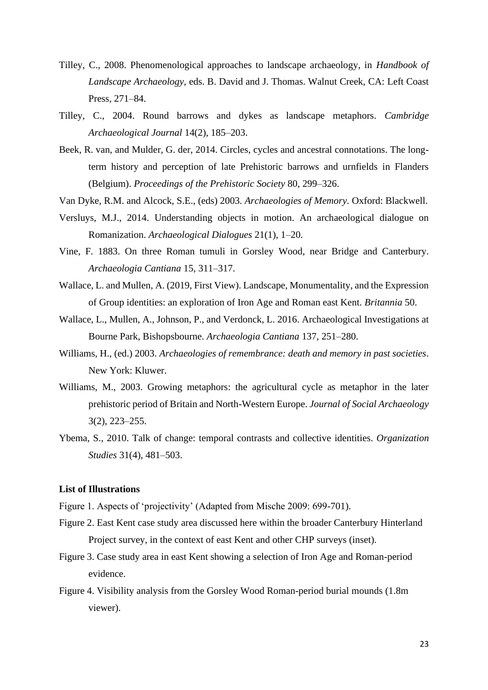- Tilley, C., 2008. Phenomenological approaches to landscape archaeology, in *Handbook of Landscape Archaeology*, eds. B. David and J. Thomas. Walnut Creek, CA: Left Coast Press, 271–84.
- Tilley, C., 2004. Round barrows and dykes as landscape metaphors. *Cambridge Archaeological Journal* 14(2), 185–203.
- Beek, R. van, and Mulder, G. der, 2014. Circles, cycles and ancestral connotations. The longterm history and perception of late Prehistoric barrows and urnfields in Flanders (Belgium). *Proceedings of the Prehistoric Society* 80, 299–326.
- Van Dyke, R.M. and Alcock, S.E., (eds) 2003. *Archaeologies of Memory*. Oxford: Blackwell.
- Versluys, M.J., 2014. Understanding objects in motion. An archaeological dialogue on Romanization. *Archaeological Dialogues* 21(1), 1–20.
- Vine, F. 1883. On three Roman tumuli in Gorsley Wood, near Bridge and Canterbury. *Archaeologia Cantiana* 15, 311–317.
- Wallace, L. and Mullen, A. (2019, First View). Landscape, Monumentality, and the Expression of Group identities: an exploration of Iron Age and Roman east Kent. *Britannia* 50.
- Wallace, L., Mullen, A., Johnson, P., and Verdonck, L. 2016. Archaeological Investigations at Bourne Park, Bishopsbourne. *Archaeologia Cantiana* 137, 251–280.
- Williams, H., (ed.) 2003. *Archaeologies of remembrance: death and memory in past societies*. New York: Kluwer.
- Williams, M., 2003. Growing metaphors: the agricultural cycle as metaphor in the later prehistoric period of Britain and North-Western Europe. *Journal of Social Archaeology* 3(2), 223–255.
- Ybema, S., 2010. Talk of change: temporal contrasts and collective identities. *Organization Studies* 31(4), 481–503.

## **List of Illustrations**

- Figure 1. Aspects of 'projectivity' (Adapted from Mische 2009: 699-701).
- Figure 2. East Kent case study area discussed here within the broader Canterbury Hinterland Project survey, in the context of east Kent and other CHP surveys (inset).
- Figure 3. Case study area in east Kent showing a selection of Iron Age and Roman-period evidence.
- Figure 4. Visibility analysis from the Gorsley Wood Roman-period burial mounds (1.8m viewer).